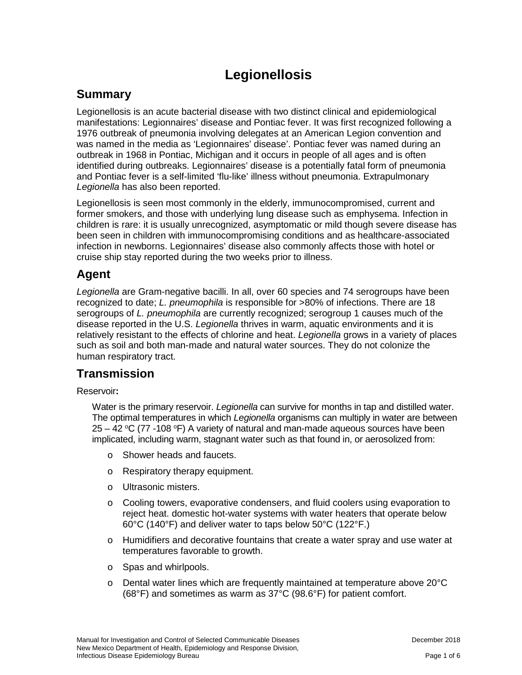# **Legionellosis**

# **Summary**

Legionellosis is an acute bacterial disease with two distinct clinical and epidemiological manifestations: Legionnaires' disease and Pontiac fever. It was first recognized following a 1976 outbreak of pneumonia involving delegates at an American Legion convention and was named in the media as 'Legionnaires' disease'. Pontiac fever was named during an outbreak in 1968 in Pontiac, Michigan and it occurs in people of all ages and is often identified during outbreaks. Legionnaires' disease is a potentially fatal form of pneumonia and Pontiac fever is a self-limited 'flu-like' illness without pneumonia. Extrapulmonary *Legionella* has also been reported.

Legionellosis is seen most commonly in the elderly, immunocompromised, current and former smokers, and those with underlying lung disease such as emphysema. Infection in children is rare: it is usually unrecognized, asymptomatic or mild though severe disease has been seen in children with immunocompromising conditions and as healthcare-associated infection in newborns. Legionnaires' disease also commonly affects those with hotel or cruise ship stay reported during the two weeks prior to illness.

# **Agent**

*Legionella* are Gram-negative bacilli. In all, over 60 species and 74 serogroups have been recognized to date; *L. pneumophila* is responsible for >80% of infections. There are 18 serogroups of *L. pneumophila* are currently recognized; serogroup 1 causes much of the disease reported in the U.S. *Legionella* thrives in warm, aquatic environments and it is relatively resistant to the effects of chlorine and heat. *Legionella* grows in a variety of places such as soil and both man-made and natural water sources. They do not colonize the human respiratory tract.

# **Transmission**

Reservoir**:**

Water is the primary reservoir. *Legionella* can survive for months in tap and distilled water. The optimal temperatures in which *Legionella* organisms can multiply in water are between  $25 - 42$  °C (77 -108 °F) A variety of natural and man-made aqueous sources have been implicated, including warm, stagnant water such as that found in, or aerosolized from:

- o Shower heads and faucets.
- o Respiratory therapy equipment.
- o Ultrasonic misters.
- o Cooling towers, evaporative condensers, and fluid coolers using evaporation to reject heat. domestic hot-water systems with water heaters that operate below 60°C (140°F) and deliver water to taps below 50°C (122°F.)
- o Humidifiers and decorative fountains that create a water spray and use water at temperatures favorable to growth.
- o Spas and whirlpools.
- $\circ$  Dental water lines which are frequently maintained at temperature above 20 $\degree$ C (68°F) and sometimes as warm as 37°C (98.6°F) for patient comfort.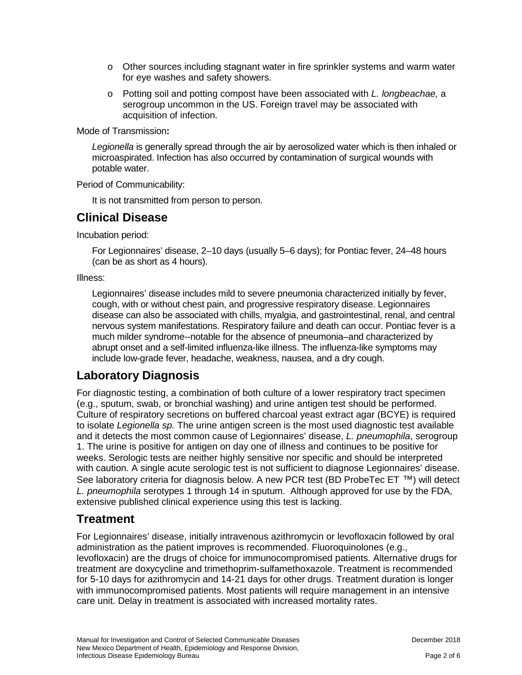- $\circ$  Other sources including stagnant water in fire sprinkler systems and warm water for eye washes and safety showers.
- o Potting soil and potting compost have been associated with *L. longbeachae,* a serogroup uncommon in the US. Foreign travel may be associated with acquisition of infection.

Mode of Transmission**:**

*Legionella* is generally spread through the air by aerosolized water which is then inhaled or microaspirated. Infection has also occurred by contamination of surgical wounds with potable water.

Period of Communicability:

It is not transmitted from person to person.

# **Clinical Disease**

Incubation period:

For Legionnaires' disease, 2–10 days (usually 5–6 days); for Pontiac fever, 24–48 hours (can be as short as 4 hours).

Illness:

Legionnaires' disease includes mild to severe pneumonia characterized initially by fever, cough, with or without chest pain, and progressive respiratory disease. Legionnaires disease can also be associated with chills, myalgia, and gastrointestinal, renal, and central nervous system manifestations. Respiratory failure and death can occur. Pontiac fever is a much milder syndrome--notable for the absence of pneumonia–and characterized by abrupt onset and a self-limited influenza-like illness. The influenza-like symptoms may include low-grade fever, headache, weakness, nausea, and a dry cough.

# **Laboratory Diagnosis**

For diagnostic testing, a combination of both culture of a lower respiratory tract specimen (e.g., sputum, swab, or bronchial washing) and urine antigen test should be performed. Culture of respiratory secretions on buffered charcoal yeast extract agar (BCYE) is required to isolate *Legionella sp.* The urine antigen screen is the most used diagnostic test available and it detects the most common cause of Legionnaires' disease, *L. pneumophila*, serogroup 1. The urine is positive for antigen on day one of illness and continues to be positive for weeks. Serologic tests are neither highly sensitive nor specific and should be interpreted with caution. A single acute serologic test is not sufficient to diagnose Legionnaires' disease. See laboratory criteria for diagnosis below. A new PCR test (BD ProbeTec ET  $TM$ ) will detect *L. pneumophila* serotypes 1 through 14 in sputum. Although approved for use by the FDA, extensive published clinical experience using this test is lacking.

# **Treatment**

For Legionnaires' disease, initially intravenous azithromycin or levofloxacin followed by oral administration as the patient improves is recommended. Fluoroquinolones (e.g., levofloxacin) are the drugs of choice for immunocompromised patients. Alternative drugs for treatment are doxycycline and trimethoprim-sulfamethoxazole. Treatment is recommended for 5-10 days for azithromycin and 14-21 days for other drugs. Treatment duration is longer with immunocompromised patients. Most patients will require management in an intensive care unit. Delay in treatment is associated with increased mortality rates.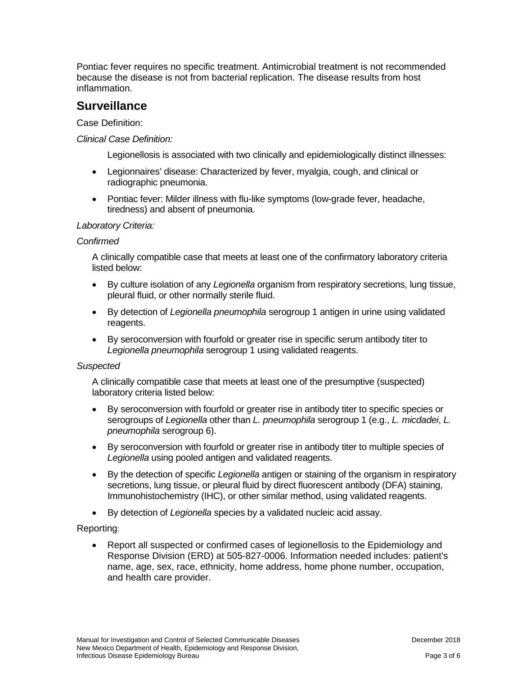Pontiac fever requires no specific treatment. Antimicrobial treatment is not recommended because the disease is not from bacterial replication. The disease results from host inflammation.

### **Surveillance**

Case Definition:

#### *Clinical Case Definition:*

Legionellosis is associated with two clinically and epidemiologically distinct illnesses:

- Legionnaires' disease: Characterized by fever, myalgia, cough, and clinical or radiographic pneumonia.
- Pontiac fever: Milder illness with flu-like symptoms (low-grade fever, headache, tiredness) and absent of pneumonia.

#### *Laboratory Criteria:*

#### *Confirmed*

A clinically compatible case that meets at least one of the confirmatory laboratory criteria listed below:

- By culture isolation of any *Legionella* organism from respiratory secretions, lung tissue, pleural fluid, or other normally sterile fluid.
- By detection of *Legionella pneumophila* serogroup 1 antigen in urine using validated reagents.
- By seroconversion with fourfold or greater rise in specific serum antibody titer to *Legionella pneumophila* serogroup 1 using validated reagents.

#### *Suspected*

A clinically compatible case that meets at least one of the presumptive (suspected) laboratory criteria listed below:

- By seroconversion with fourfold or greater rise in antibody titer to specific species or serogroups of *Legionella* other than *L. pneumophila* serogroup 1 (e.g., *L. micdadei*, *L. pneumophila* serogroup 6).
- By seroconversion with fourfold or greater rise in antibody titer to multiple species of *Legionella* using pooled antigen and validated reagents.
- By the detection of specific *Legionella* antigen or staining of the organism in respiratory secretions, lung tissue, or pleural fluid by direct fluorescent antibody (DFA) staining, Immunohistochemistry (IHC), or other similar method, using validated reagents.
- By detection of *Legionella* species by a validated nucleic acid assay.

#### Reporting:

• Report all suspected or confirmed cases of legionellosis to the Epidemiology and Response Division (ERD) at 505-827-0006. Information needed includes: patient's name, age, sex, race, ethnicity, home address, home phone number, occupation, and health care provider.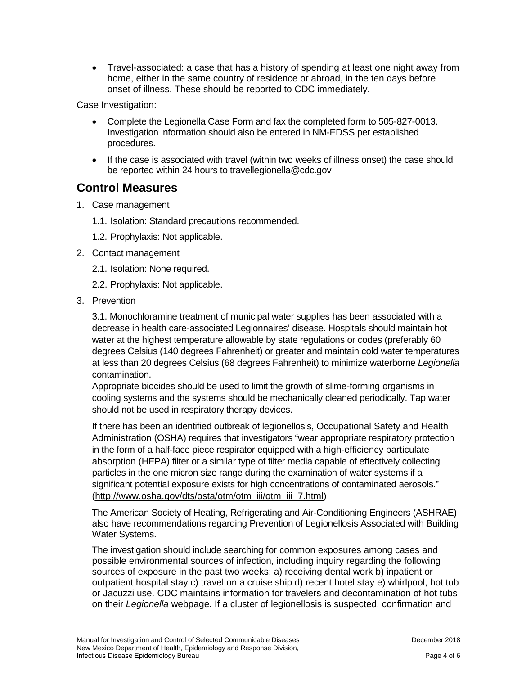• Travel-associated: a case that has a history of spending at least one night away from home, either in the same country of residence or abroad, in the ten days before onset of illness. These should be reported to CDC immediately.

Case Investigation:

- Complete the Legionella Case Form and fax the completed form to 505-827-0013. Investigation information should also be entered in NM-EDSS per established procedures.
- If the case is associated with travel (within two weeks of illness onset) the case should be reported within 24 hours to travellegionella@cdc.gov

### **Control Measures**

- 1. Case management
	- 1.1. Isolation: Standard precautions recommended.
	- 1.2. Prophylaxis: Not applicable.
- 2. Contact management
	- 2.1. Isolation: None required.
	- 2.2. Prophylaxis: Not applicable.
- 3. Prevention

3.1. Monochloramine treatment of municipal water supplies has been associated with a decrease in health care-associated Legionnaires' disease. Hospitals should maintain hot water at the highest temperature allowable by state regulations or codes (preferably 60 degrees Celsius (140 degrees Fahrenheit) or greater and maintain cold water temperatures at less than 20 degrees Celsius (68 degrees Fahrenheit) to minimize waterborne *Legionella*  contamination.

Appropriate biocides should be used to limit the growth of slime-forming organisms in cooling systems and the systems should be mechanically cleaned periodically. Tap water should not be used in respiratory therapy devices.

If there has been an identified outbreak of legionellosis, Occupational Safety and Health Administration (OSHA) requires that investigators "wear appropriate respiratory protection in the form of a half-face piece respirator equipped with a high-efficiency particulate absorption (HEPA) filter or a similar type of filter media capable of effectively collecting particles in the one micron size range during the examination of water systems if a significant potential exposure exists for high concentrations of contaminated aerosols." [\(http://www.osha.gov/dts/osta/otm/otm\\_iii/otm\\_iii\\_7.html\)](http://www.osha.gov/dts/osta/otm/otm_iii/otm_iii_7.html)

The American Society of Heating, Refrigerating and Air-Conditioning Engineers (ASHRAE) also have recommendations regarding Prevention of Legionellosis Associated with Building Water Systems.

The investigation should include searching for common exposures among cases and possible environmental sources of infection, including inquiry regarding the following sources of exposure in the past two weeks: a) receiving dental work b) inpatient or outpatient hospital stay c) travel on a cruise ship d) recent hotel stay e) whirlpool, hot tub or Jacuzzi use. CDC maintains information for travelers and decontamination of hot tubs on their *Legionella* webpage. If a cluster of legionellosis is suspected, confirmation and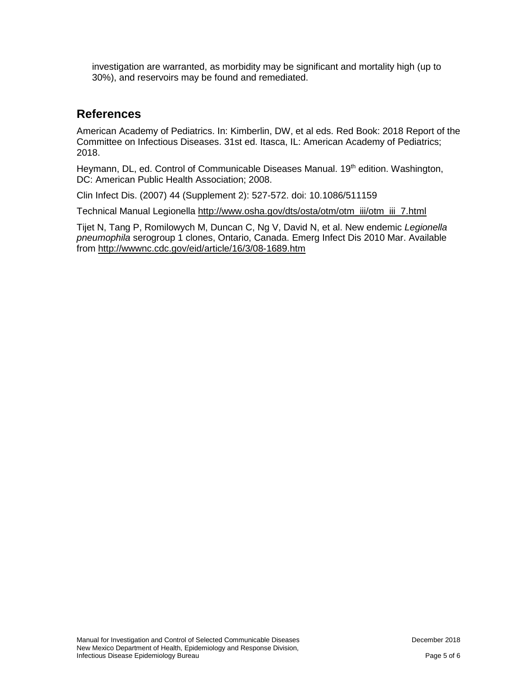investigation are warranted, as morbidity may be significant and mortality high (up to 30%), and reservoirs may be found and remediated.

## **References**

American Academy of Pediatrics. In: Kimberlin, DW, et al eds. Red Book: 2018 Report of the Committee on Infectious Diseases. 31st ed. Itasca, IL: American Academy of Pediatrics; 2018.

Heymann, DL, ed. Control of Communicable Diseases Manual. 19<sup>th</sup> edition. Washington, DC: American Public Health Association; 2008.

Clin Infect Dis. (2007) 44 (Supplement 2): 527-572. doi: 10.1086/511159

Technical Manual Legionella [http://www.osha.gov/dts/osta/otm/otm\\_iii/otm\\_iii\\_7.html](http://www.osha.gov/dts/osta/otm/otm_iii/otm_iii_7.html) 

Tijet N, Tang P, Romilowych M, Duncan C, Ng V, David N, et al. New endemic *Legionella pneumophila* serogroup 1 clones, Ontario, Canada. Emerg Infect Dis 2010 Mar. Available from<http://wwwnc.cdc.gov/eid/article/16/3/08-1689.htm>